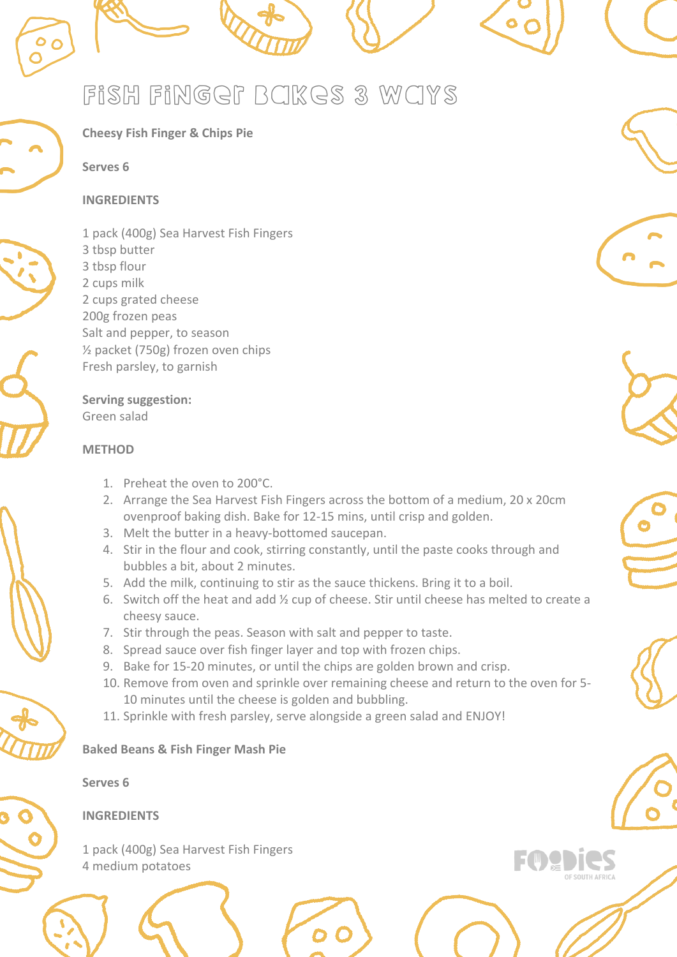





1 pack (400g) Sea Harvest Fish Fingers 3 tbsp butter 3 tbsp flour 2 cups milk 2 cups grated cheese 200g frozen peas Salt and pepper, to season ½ packet (750g) frozen oven chips Fresh parsley, to garnish

**Cheesy Fish Finger & Chips Pie**

**Serving suggestion:** Green salad

### **METHOD**

**Serves 6** 

**INGREDIENTS**

- 1. Preheat the oven to 200°C.
- 2. Arrange the Sea Harvest Fish Fingers across the bottom of a medium, 20 x 20cm ovenproof baking dish. Bake for 12-15 mins, until crisp and golden.
- 3. Melt the butter in a heavy-bottomed saucepan.
- 4. Stir in the flour and cook, stirring constantly, until the paste cooks through and bubbles a bit, about 2 minutes.
- 5. Add the milk, continuing to stir as the sauce thickens. Bring it to a boil.
- 6. Switch off the heat and add ½ cup of cheese. Stir until cheese has melted to create a cheesy sauce.
- 7. Stir through the peas. Season with salt and pepper to taste.
- 8. Spread sauce over fish finger layer and top with frozen chips.
- 9. Bake for 15-20 minutes, or until the chips are golden brown and crisp.
- 10. Remove from oven and sprinkle over remaining cheese and return to the oven for 5- 10 minutes until the cheese is golden and bubbling.
- 11. Sprinkle with fresh parsley, serve alongside a green salad and ENJOY!

### **Baked Beans & Fish Finger Mash Pie**



**Serves 6** 

# **INGREDIENTS**

1 pack (400g) Sea Harvest Fish Fingers 4 medium potatoes





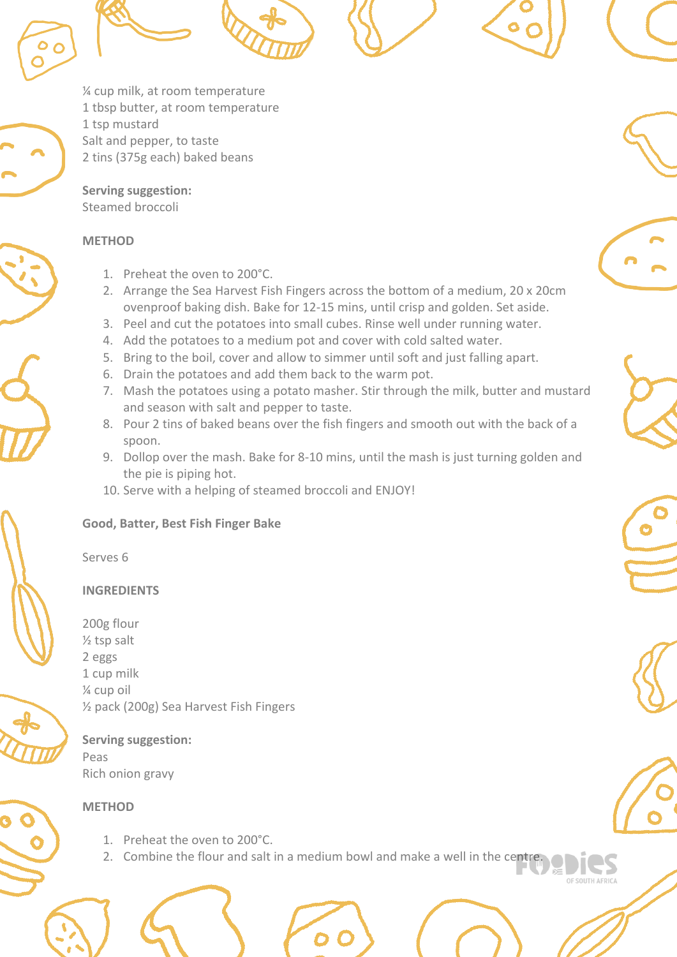¼ cup milk, at room temperature 1 tbsp butter, at room temperature 1 tsp mustard Salt and pepper, to taste 2 tins (375g each) baked beans

**Serving suggestion:** Steamed broccoli

#### **METHOD**

- 1. Preheat the oven to 200°C.
- 2. Arrange the Sea Harvest Fish Fingers across the bottom of a medium, 20 x 20cm ovenproof baking dish. Bake for 12-15 mins, until crisp and golden. Set aside.
- 3. Peel and cut the potatoes into small cubes. Rinse well under running water.
- 4. Add the potatoes to a medium pot and cover with cold salted water.
- 5. Bring to the boil, cover and allow to simmer until soft and just falling apart.
- 6. Drain the potatoes and add them back to the warm pot.
- 7. Mash the potatoes using a potato masher. Stir through the milk, butter and mustard and season with salt and pepper to taste.
- 8. Pour 2 tins of baked beans over the fish fingers and smooth out with the back of a spoon.
- 9. Dollop over the mash. Bake for 8-10 mins, until the mash is just turning golden and the pie is piping hot.
- 10. Serve with a helping of steamed broccoli and ENJOY!

## **Good, Batter, Best Fish Finger Bake**

Serves 6

# **INGREDIENTS**

200g flour ½ tsp salt 2 eggs 1 cup milk ¼ cup oil ½ pack (200g) Sea Harvest Fish Fingers

**Serving suggestion:** Peas Rich onion gravy

## **METHOD**

- 1. Preheat the oven to 200°C.
- 2. Combine the flour and salt in a medium bowl and make a well in the centre.







**E SOUTH AFR**